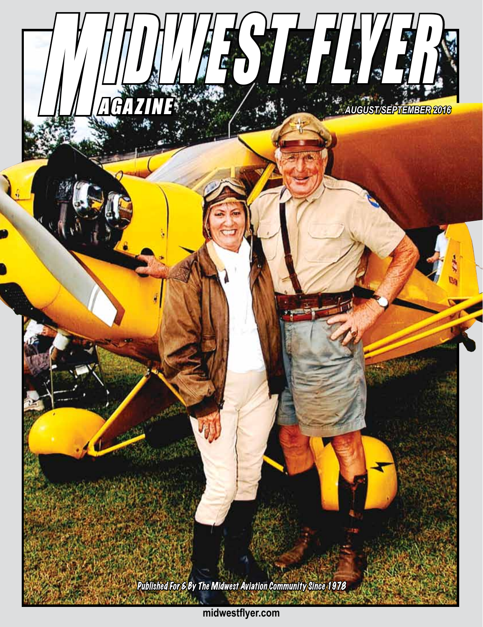

**midwestflyer.com**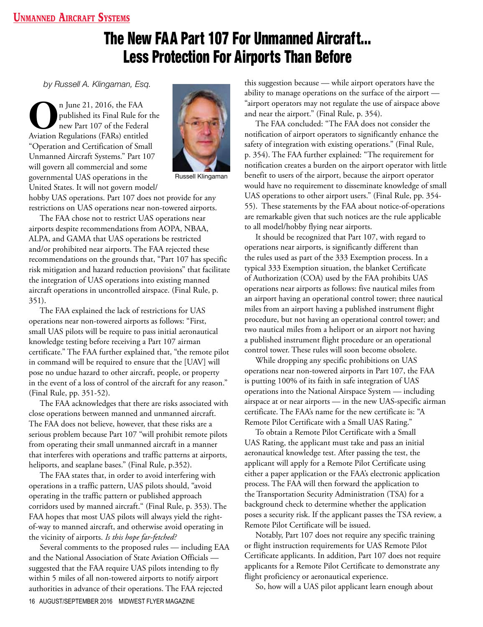## Unmanned Aircraft Systems

## The New FAA Part 107 For Unmanned Aircraft… Less Protection For Airports Than Before

*by Russell A. Klingaman, Esq.*

**O**n June 21, 2016, the FAA<br>published its Final Rule for<br>Aviation Regulations (FARs) entitled published its Final Rule for the new Part 107 of the Federal Aviation Regulations (FARs) entitled "Operation and Certification of Small Unmanned Aircraft Systems." Part 107 will govern all commercial and some governmental UAS operations in the United States. It will not govern model/



Russell Klingaman

hobby UAS operations. Part 107 does not provide for any restrictions on UAS operations near non-towered airports.

The FAA chose not to restrict UAS operations near airports despite recommendations from AOPA, NBAA, ALPA, and GAMA that UAS operations be restricted and/or prohibited near airports. The FAA rejected these recommendations on the grounds that, "Part 107 has specific risk mitigation and hazard reduction provisions" that facilitate the integration of UAS operations into existing manned aircraft operations in uncontrolled airspace. (Final Rule, p. 351).

The FAA explained the lack of restrictions for UAS operations near non-towered airports as follows: "First, small UAS pilots will be require to pass initial aeronautical knowledge testing before receiving a Part 107 airman certificate." The FAA further explained that, "the remote pilot in command will be required to ensure that the [UAV] will pose no undue hazard to other aircraft, people, or property in the event of a loss of control of the aircraft for any reason." (Final Rule, pp. 351-52).

The FAA acknowledges that there are risks associated with close operations between manned and unmanned aircraft. The FAA does not believe, however, that these risks are a serious problem because Part 107 "will prohibit remote pilots from operating their small unmanned aircraft in a manner that interferes with operations and traffic patterns at airports, heliports, and seaplane bases." (Final Rule, p.352).

The FAA states that, in order to avoid interfering with operations in a traffic pattern, UAS pilots should, "avoid operating in the traffic pattern or published approach corridors used by manned aircraft." (Final Rule, p. 353). The FAA hopes that most UAS pilots will always yield the rightof-way to manned aircraft, and otherwise avoid operating in the vicinity of airports. *Is this hope far-fetched?*

16 AUGUST/SEPTEMBER 2016 MIDWEST FLYER MAGAZINE Several comments to the proposed rules — including EAA and the National Association of State Aviation Officials suggested that the FAA require UAS pilots intending to fly within 5 miles of all non-towered airports to notify airport authorities in advance of their operations. The FAA rejected

this suggestion because — while airport operators have the ability to manage operations on the surface of the airport — "airport operators may not regulate the use of airspace above and near the airport." (Final Rule, p. 354).

The FAA concluded: "The FAA does not consider the notification of airport operators to significantly enhance the safety of integration with existing operations." (Final Rule, p. 354). The FAA further explained: "The requirement for notification creates a burden on the airport operator with little benefit to users of the airport, because the airport operator would have no requirement to disseminate knowledge of small UAS operations to other airport users." (Final Rule, pp. 354- 55). These statements by the FAA about notice-of-operations are remarkable given that such notices are the rule applicable to all model/hobby flying near airports.

It should be recognized that Part 107, with regard to operations near airports, is significantly different than the rules used as part of the 333 Exemption process. In a typical 333 Exemption situation, the blanket Certificate of Authorization (COA) used by the FAA prohibits UAS operations near airports as follows: five nautical miles from an airport having an operational control tower; three nautical miles from an airport having a published instrument flight procedure, but not having an operational control tower; and two nautical miles from a heliport or an airport not having a published instrument flight procedure or an operational control tower. These rules will soon become obsolete.

While dropping any specific prohibitions on UAS operations near non-towered airports in Part 107, the FAA is putting 100% of its faith in safe integration of UAS operations into the National Airspace System — including airspace at or near airports — in the new UAS-specific airman certificate. The FAA's name for the new certificate is: "A Remote Pilot Certificate with a Small UAS Rating."

To obtain a Remote Pilot Certificate with a Small UAS Rating, the applicant must take and pass an initial aeronautical knowledge test. After passing the test, the applicant will apply for a Remote Pilot Certificate using either a paper application or the FAA's electronic application process. The FAA will then forward the application to the Transportation Security Administration (TSA) for a background check to determine whether the application poses a security risk. If the applicant passes the TSA review, a Remote Pilot Certificate will be issued.

Notably, Part 107 does not require any specific training or flight instruction requirements for UAS Remote Pilot Certificate applicants. In addition, Part 107 does not require applicants for a Remote Pilot Certificate to demonstrate any flight proficiency or aeronautical experience.

So, how will a UAS pilot applicant learn enough about